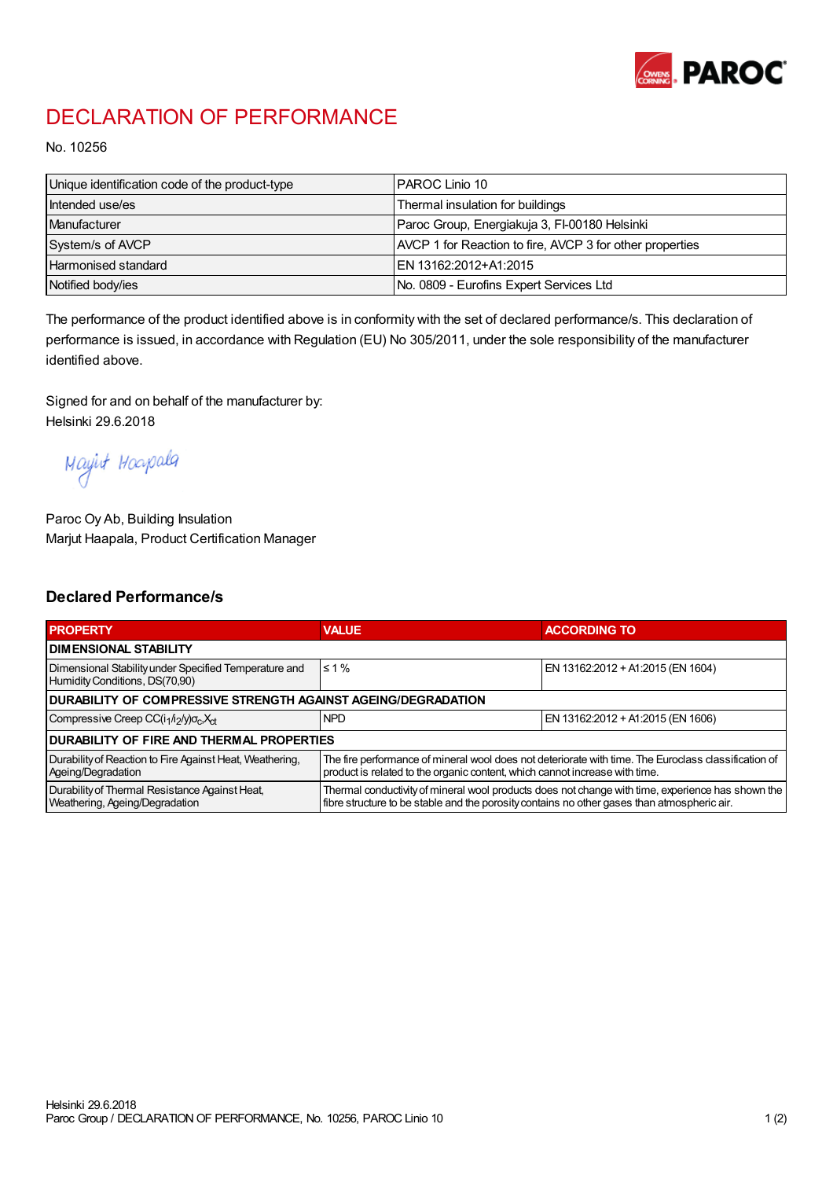

## DECLARATION OF PERFORMANCE

No. 10256

| Unique identification code of the product-type | I PAROC Linio 10                                         |
|------------------------------------------------|----------------------------------------------------------|
| Intended use/es                                | Thermal insulation for buildings                         |
| Manufacturer                                   | Paroc Group, Energiakuja 3, FI-00180 Helsinki            |
| System/s of AVCP                               | AVCP 1 for Reaction to fire, AVCP 3 for other properties |
| Harmonised standard                            | IEN 13162:2012+A1:2015                                   |
| Notified body/ies                              | No. 0809 - Eurofins Expert Services Ltd                  |

The performance of the product identified above is in conformity with the set of declared performance/s. This declaration of performance is issued, in accordance with Regulation (EU) No 305/2011, under the sole responsibility of the manufacturer identified above.

Signed for and on behalf of the manufacturer by: Helsinki 29.6.2018

Mayint Hoapala

Paroc Oy Ab, Building Insulation Marjut Haapala, Product Certification Manager

## Declared Performance/s

| <b>PROPERTY</b>                                                                         | <b>VALUE</b>                                                                                                                                                                                     | <b>ACCORDING TO</b>               |  |  |
|-----------------------------------------------------------------------------------------|--------------------------------------------------------------------------------------------------------------------------------------------------------------------------------------------------|-----------------------------------|--|--|
| <b>I DIMENSIONAL STABILITY</b>                                                          |                                                                                                                                                                                                  |                                   |  |  |
| Dimensional Stability under Specified Temperature and<br>Humidity Conditions, DS(70,90) | $\leq 1\%$                                                                                                                                                                                       | EN 13162:2012 + A1:2015 (EN 1604) |  |  |
| <b>DURABILITY OF COMPRESSIVE STRENGTH AGAINST AGEING/DEGRADATION</b>                    |                                                                                                                                                                                                  |                                   |  |  |
| Compressive Creep CC(i <sub>1</sub> /i <sub>2</sub> /y) $\sigma_c X_{ct}$               | <b>NPD</b>                                                                                                                                                                                       | EN 13162:2012 + A1:2015 (EN 1606) |  |  |
| IDURABILITY OF FIRE AND THERMAL PROPERTIES                                              |                                                                                                                                                                                                  |                                   |  |  |
| Durability of Reaction to Fire Against Heat, Weathering,<br>Ageing/Degradation          | The fire performance of mineral wool does not deteriorate with time. The Euroclass classification of<br>product is related to the organic content, which cannot increase with time.              |                                   |  |  |
| Durability of Thermal Resistance Against Heat,<br>Weathering, Ageing/Degradation        | Thermal conductivity of mineral wool products does not change with time, experience has shown the<br>fibre structure to be stable and the porosity contains no other gases than atmospheric air. |                                   |  |  |